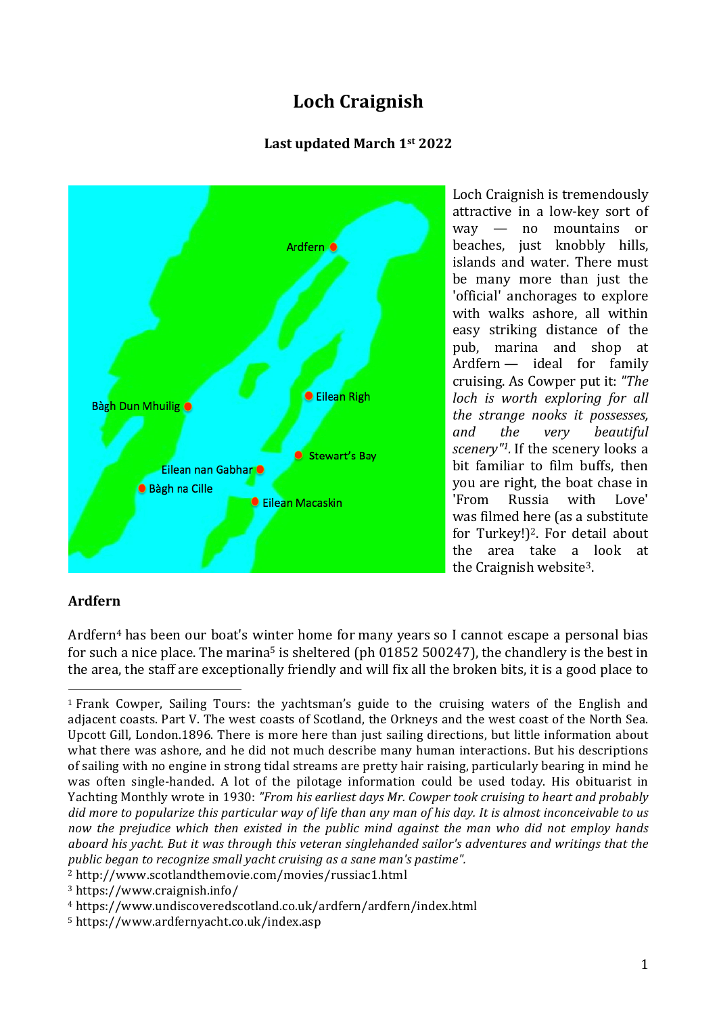# **Loch Craignish**

### **Last updated March 1st 2022**



Loch Craignish is tremendously attractive in a low-key sort of way — no mountains or beaches, just knobbly hills, islands and water. There must be many more than just the 'official' anchorages to explore with walks ashore, all within easy striking distance of the pub, marina and shop at Ardfern — ideal for family cruising. As Cowper put it: *"The loch is worth exploring for all the strange nooks it possesses, and the very beautiful scenery"1.* If the scenery looks a bit familiar to film buffs, then you are right, the boat chase in 'From Russia with Love' was filmed here (as a substitute for Turkey! $]$ <sup>2</sup>. For detail about the area take a look at the Craignish website3.

## **Ardfern**

Ardfern<sup>4</sup> has been our boat's winter home for many years so I cannot escape a personal bias for such a nice place. The marina<sup>5</sup> is sheltered (ph  $01852500247$ ), the chandlery is the best in the area, the staff are exceptionally friendly and will fix all the broken bits, it is a good place to

  $1$  Frank Cowper, Sailing Tours: the yachtsman's guide to the cruising waters of the English and adjacent coasts. Part V. The west coasts of Scotland, the Orkneys and the west coast of the North Sea. Upcott Gill, London.1896. There is more here than just sailing directions, but little information about what there was ashore, and he did not much describe many human interactions. But his descriptions of sailing with no engine in strong tidal streams are pretty hair raising, particularly bearing in mind he was often single-handed. A lot of the pilotage information could be used today. His obituarist in Yachting Monthly wrote in 1930: *"From his earliest days Mr. Cowper took cruising to heart and probably* did more to popularize this particular way of life than any man of his day. It is almost inconceivable to us *now the prejudice which then existed in the public mind against the man who did not employ hands aboard his yacht. But it was through this veteran singlehanded sailor's adventures and writings that the public began to recognize small yacht cruising as a sane man's pastime".*

<sup>2</sup> http://www.scotlandthemovie.com/movies/russiac1.html

<sup>3</sup> https://www.craignish.info/

<sup>4</sup> https://www.undiscoveredscotland.co.uk/ardfern/ardfern/index.html

<sup>5</sup> https://www.ardfernyacht.co.uk/index.asp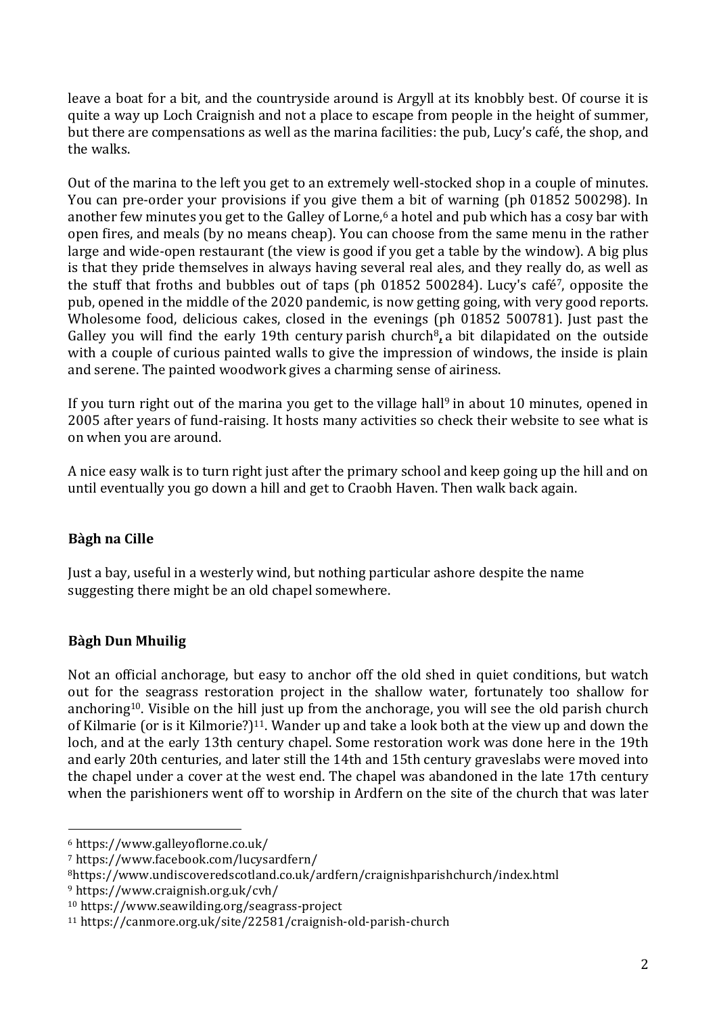leave a boat for a bit, and the countryside around is Argyll at its knobbly best. Of course it is quite a way up Loch Craignish and not a place to escape from people in the height of summer, but there are compensations as well as the marina facilities: the pub, Lucy's café, the shop, and the walks.

Out of the marina to the left you get to an extremely well-stocked shop in a couple of minutes. You can pre-order your provisions if you give them a bit of warning (ph 01852 500298). In another few minutes you get to the Galley of Lorne, <sup>6</sup> a hotel and pub which has a cosy bar with open fires, and meals (by no means cheap). You can choose from the same menu in the rather large and wide-open restaurant (the view is good if you get a table by the window). A big plus is that they pride themselves in always having several real ales, and they really do, as well as the stuff that froths and bubbles out of taps (ph 01852 500284). Lucy's café7, opposite the pub, opened in the middle of the 2020 pandemic, is now getting going, with very good reports. Wholesome food, delicious cakes, closed in the evenings (ph 01852 500781). Just past the Galley you will find the early 19th century parish church<sup>8</sup>, a bit dilapidated on the outside with a couple of curious painted walls to give the impression of windows, the inside is plain and serene. The painted woodwork gives a charming sense of airiness.

If you turn right out of the marina you get to the village hall<sup>9</sup> in about 10 minutes, opened in 2005 after years of fund-raising. It hosts many activities so check their website to see what is on when you are around.

A nice easy walk is to turn right just after the primary school and keep going up the hill and on until eventually you go down a hill and get to Craobh Haven. Then walk back again.

## **Bàgh na Cille**

Just a bay, useful in a westerly wind, but nothing particular ashore despite the name suggesting there might be an old chapel somewhere.

## **Bàgh Dun Mhuilig**

Not an official anchorage, but easy to anchor off the old shed in quiet conditions, but watch out for the seagrass restoration project in the shallow water, fortunately too shallow for anchoring10. Visible on the hill just up from the anchorage, you will see the old parish church of Kilmarie (or is it Kilmorie?)<sup>11</sup>. Wander up and take a look both at the view up and down the loch, and at the early 13th century chapel. Some restoration work was done here in the 19th and early 20th centuries, and later still the 14th and 15th century graveslabs were moved into the chapel under a cover at the west end. The chapel was abandoned in the late 17th century when the parishioners went off to worship in Ardfern on the site of the church that was later

 

<sup>6</sup> https://www.galleyoflorne.co.uk/

<sup>7</sup> https://www.facebook.com/lucysardfern/

<sup>8</sup>https://www.undiscoveredscotland.co.uk/ardfern/craignishparishchurch/index.html

<sup>9</sup> https://www.craignish.org.uk/cvh/

<sup>10</sup> https://www.seawilding.org/seagrass-project

<sup>11</sup> https://canmore.org.uk/site/22581/craignish-old-parish-church